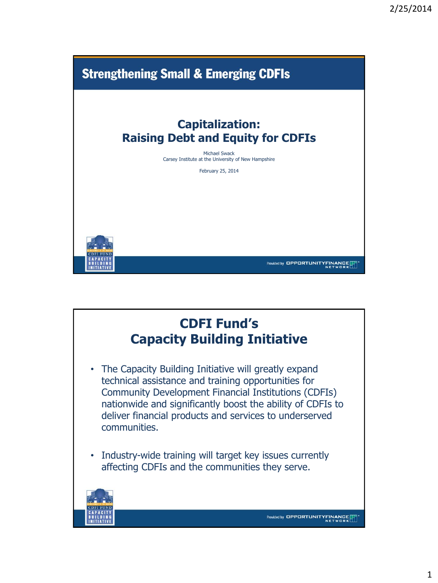

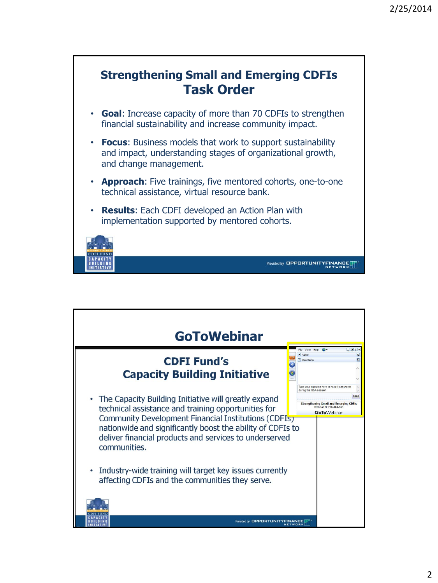

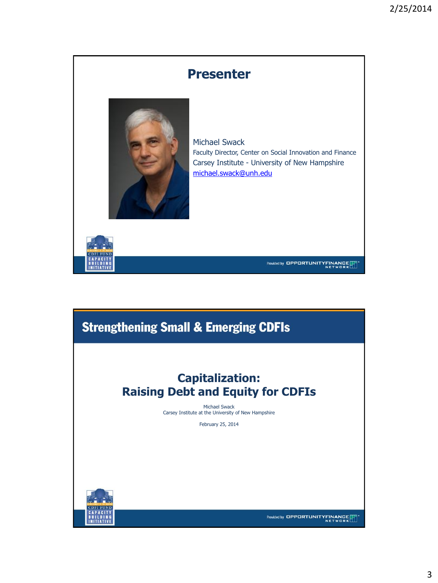

## **Strengthening Small & Emerging CDFIs**

### **Capitalization: Raising Debt and Equity for CDFIs**

Michael Swack Carsey Institute at the University of New Hampshire

February 25, 2014



Provided by OPPORTUNITYFINANCE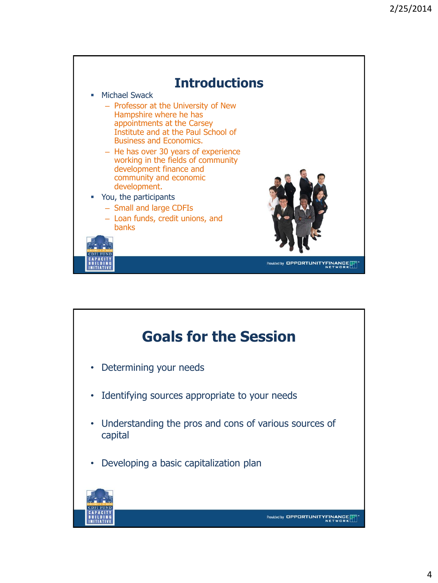

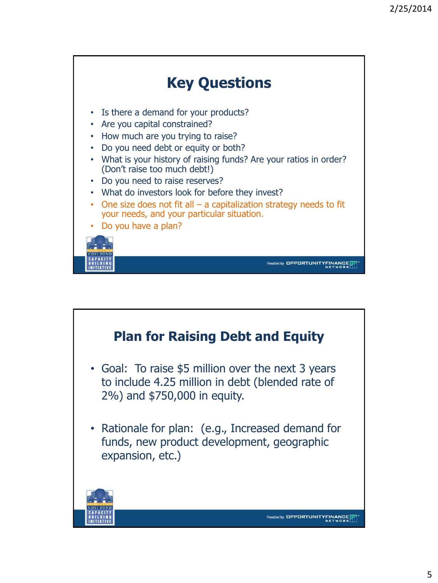

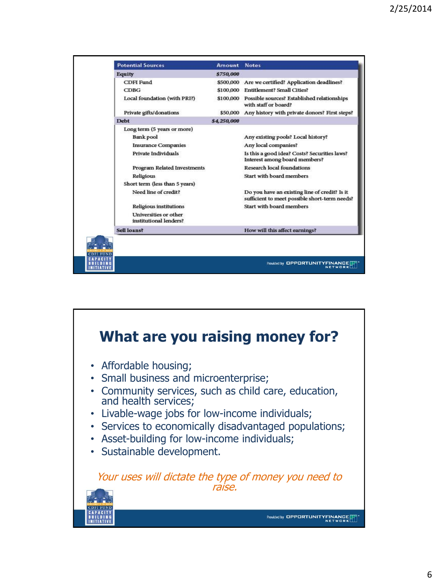| <b>Potential Sources</b>                        | <b>Amount</b> | <b>Notes</b>                                                                                   |
|-------------------------------------------------|---------------|------------------------------------------------------------------------------------------------|
| <b>Equity</b>                                   | \$750,000     |                                                                                                |
| <b>CDFI</b> Fund                                | \$500,000     | Are we certified? Application deadlines?                                                       |
| CDBG                                            |               | \$100,000 Entitlement? Small Cities?                                                           |
| Local foundation (with PRI?)                    |               | \$100,000 Possible sources? Established relationships<br>with staff or board?                  |
| Private gifts/donations                         | \$50,000      | Any history with private donors? First steps?                                                  |
| <b>Debt</b>                                     | \$4,250,000   |                                                                                                |
| Long term (5 years or more)                     |               |                                                                                                |
| <b>Bank pool</b>                                |               | Any existing pools? Local history?                                                             |
| <b>Insurance Companies</b>                      |               | Any local companies?                                                                           |
| Private Individuals                             |               | Is this a good idea? Costs? Securities laws?<br>Interest among board members?                  |
| Program Related Investments                     |               | <b>Research local foundations</b>                                                              |
| Religious                                       |               | Start with board members                                                                       |
| Short term (less than 5 years)                  |               |                                                                                                |
| Need line of credit?                            |               | Do you have an existing line of credit? Is it<br>sufficient to meet possible short-term needs? |
| Religious institutions                          |               | Start with board members                                                                       |
| Universities or other<br>institutional lenders? |               |                                                                                                |
| Sell loans?                                     |               | How will this affect earnings?                                                                 |

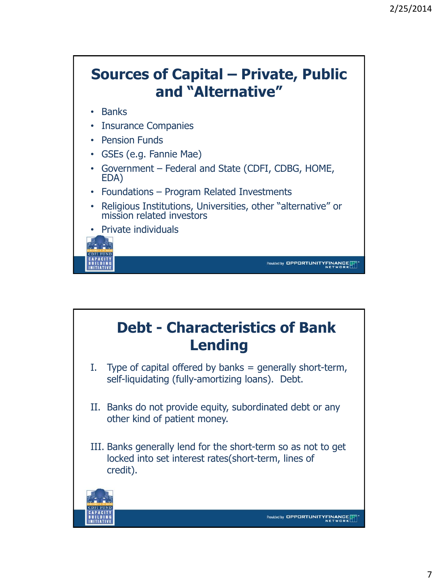

# **Debt - Characteristics of Bank Lending**

- I. Type of capital offered by banks  $=$  generally short-term, self-liquidating (fully-amortizing loans). Debt.
- II. Banks do not provide equity, subordinated debt or any other kind of patient money.
- III. Banks generally lend for the short-term so as not to get locked into set interest rates(short-term, lines of credit).

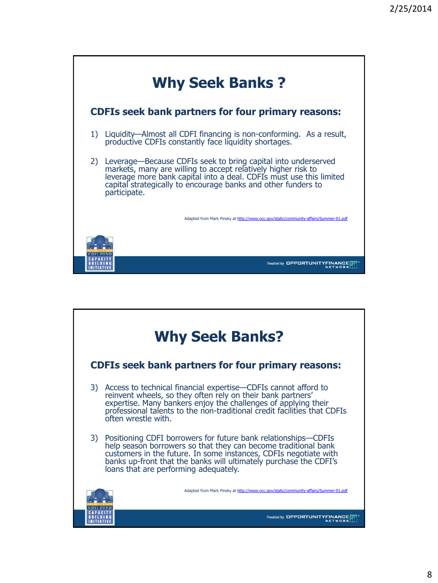

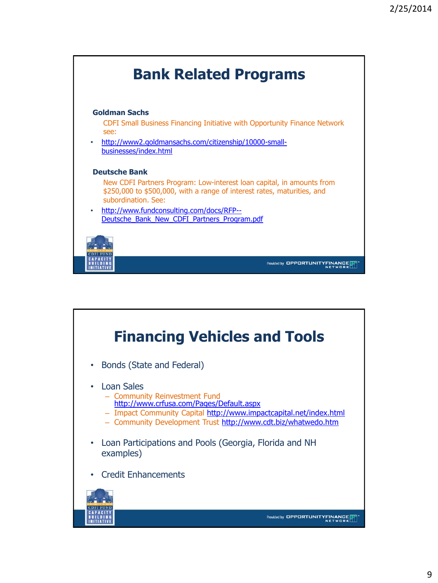

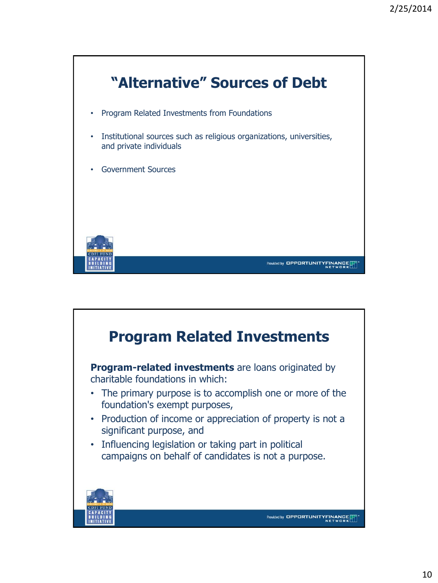

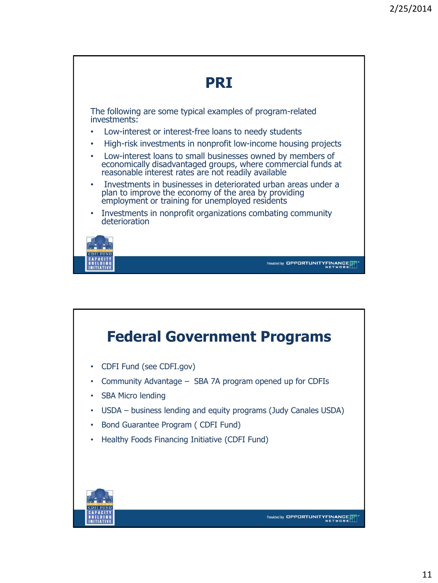

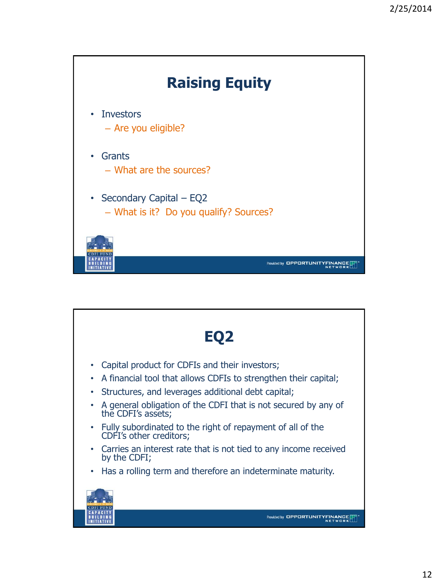

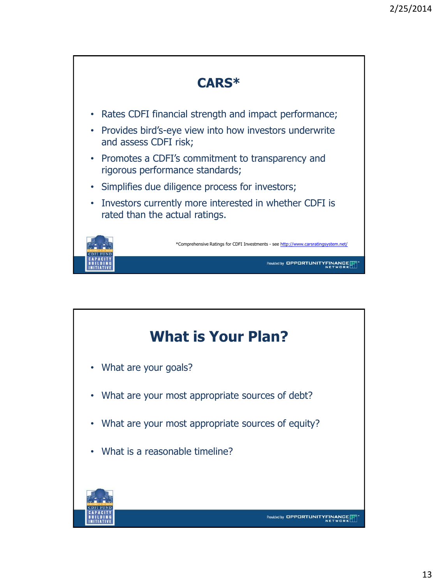

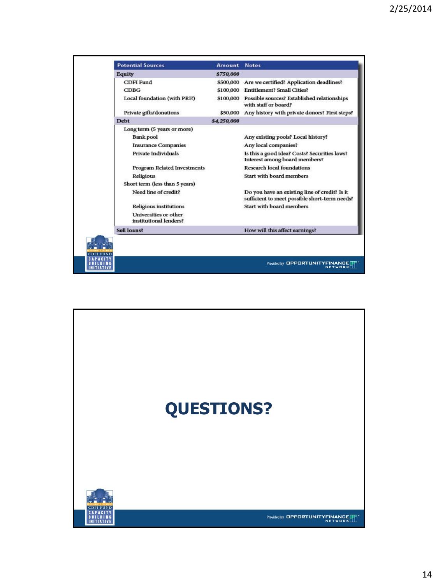| <b>Potential Sources</b>                        | Amount      | <b>Notes</b>                                                                                   |
|-------------------------------------------------|-------------|------------------------------------------------------------------------------------------------|
| Equity                                          | \$750,000   |                                                                                                |
| <b>CDFI</b> Fund                                |             | \$500,000 Are we certified? Application deadlines?                                             |
| CDBG                                            |             | \$100,000 Entitlement? Small Cities?                                                           |
| Local foundation (with PRI?)                    |             | \$100,000 Possible sources? Established relationships<br>with staff or board?                  |
| Private gifts/donations                         | \$50,000    | Any history with private donors? First steps?                                                  |
| <b>Debt</b>                                     | \$4,250,000 |                                                                                                |
| Long term (5 years or more)                     |             |                                                                                                |
| <b>Bank pool</b>                                |             | Any existing pools? Local history?                                                             |
| <b>Insurance Companies</b>                      |             | Any local companies?                                                                           |
| Private Individuals                             |             | Is this a good idea? Costs? Securities laws?<br>Interest among board members?                  |
| Program Related Investments                     |             | <b>Research local foundations</b>                                                              |
| Religious                                       |             | Start with board members                                                                       |
| Short term (less than 5 years)                  |             |                                                                                                |
| Need line of credit?                            |             | Do you have an existing line of credit? Is it<br>sufficient to meet possible short-term needs? |
| Religious institutions                          |             | Start with board members                                                                       |
| Universities or other<br>institutional lenders? |             |                                                                                                |
| Sell loans?                                     |             | How will this affect earnings?                                                                 |

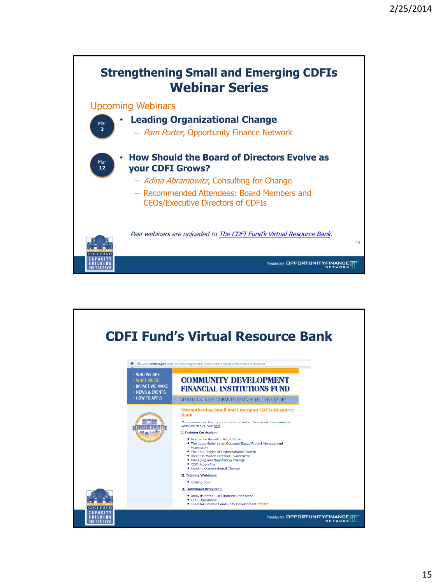